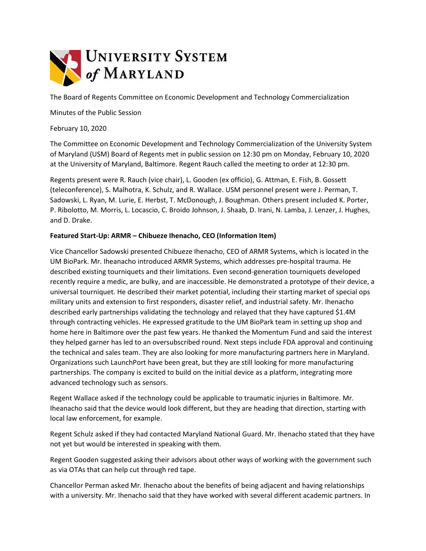

The Board of Regents Committee on Economic Development and Technology Commercialization

Minutes of the Public Session

February 10, 2020

The Committee on Economic Development and Technology Commercialization of the University System of Maryland (USM) Board of Regents met in public session on 12:30 pm on Monday, February 10, 2020 at the University of Maryland, Baltimore. Regent Rauch called the meeting to order at 12:30 pm.

Regents present were R. Rauch (vice chair), L. Gooden (ex officio), G. Attman, E. Fish, B. Gossett (teleconference), S. Malhotra, K. Schulz, and R. Wallace. USM personnel present were J. Perman, T. Sadowski, L. Ryan, M. Lurie, E. Herbst, T. McDonough, J. Boughman. Others present included K. Porter, P. Ribolotto, M. Morris, L. Locascio, C. Broido Johnson, J. Shaab, D. Irani, N. Lamba, J. Lenzer, J. Hughes, and D. Drake.

## **Featured Start-Up: ARMR – Chibueze Ihenacho, CEO (Information Item)**

Vice Chancellor Sadowski presented Chibueze Ihenacho, CEO of ARMR Systems, which is located in the UM BioPark. Mr. Iheanacho introduced ARMR Systems, which addresses pre-hospital trauma. He described existing tourniquets and their limitations. Even second-generation tourniquets developed recently require a medic, are bulky, and are inaccessible. He demonstrated a prototype of their device, a universal tourniquet. He described their market potential, including their starting market of special ops military units and extension to first responders, disaster relief, and industrial safety. Mr. Ihenacho described early partnerships validating the technology and relayed that they have captured \$1.4M through contracting vehicles. He expressed gratitude to the UM BioPark team in setting up shop and home here in Baltimore over the past few years. He thanked the Momentum Fund and said the interest they helped garner has led to an oversubscribed round. Next steps include FDA approval and continuing the technical and sales team. They are also looking for more manufacturing partners here in Maryland. Organizations such LaunchPort have been great, but they are still looking for more manufacturing partnerships. The company is excited to build on the initial device as a platform, integrating more advanced technology such as sensors.

Regent Wallace asked if the technology could be applicable to traumatic injuries in Baltimore. Mr. Iheanacho said that the device would look different, but they are heading that direction, starting with local law enforcement, for example.

Regent Schulz asked if they had contacted Maryland National Guard. Mr. Ihenacho stated that they have not yet but would be interested in speaking with them.

Regent Gooden suggested asking their advisors about other ways of working with the government such as via OTAs that can help cut through red tape.

Chancellor Perman asked Mr. Ihenacho about the benefits of being adjacent and having relationships with a university. Mr. Ihenacho said that they have worked with several different academic partners. In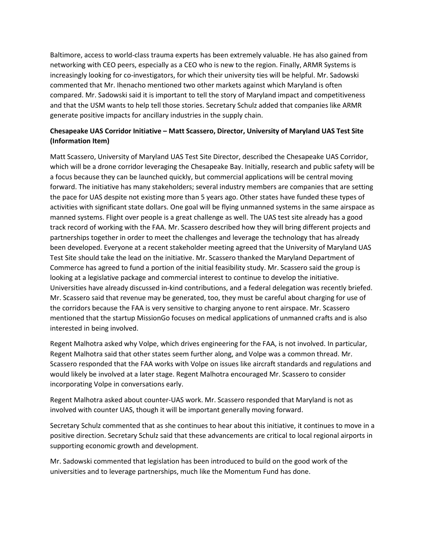Baltimore, access to world-class trauma experts has been extremely valuable. He has also gained from networking with CEO peers, especially as a CEO who is new to the region. Finally, ARMR Systems is increasingly looking for co-investigators, for which their university ties will be helpful. Mr. Sadowski commented that Mr. Ihenacho mentioned two other markets against which Maryland is often compared. Mr. Sadowski said it is important to tell the story of Maryland impact and competitiveness and that the USM wants to help tell those stories. Secretary Schulz added that companies like ARMR generate positive impacts for ancillary industries in the supply chain.

## **Chesapeake UAS Corridor Initiative – Matt Scassero, Director, University of Maryland UAS Test Site (Information Item)**

Matt Scassero, University of Maryland UAS Test Site Director, described the Chesapeake UAS Corridor, which will be a drone corridor leveraging the Chesapeake Bay. Initially, research and public safety will be a focus because they can be launched quickly, but commercial applications will be central moving forward. The initiative has many stakeholders; several industry members are companies that are setting the pace for UAS despite not existing more than 5 years ago. Other states have funded these types of activities with significant state dollars. One goal will be flying unmanned systems in the same airspace as manned systems. Flight over people is a great challenge as well. The UAS test site already has a good track record of working with the FAA. Mr. Scassero described how they will bring different projects and partnerships together in order to meet the challenges and leverage the technology that has already been developed. Everyone at a recent stakeholder meeting agreed that the University of Maryland UAS Test Site should take the lead on the initiative. Mr. Scassero thanked the Maryland Department of Commerce has agreed to fund a portion of the initial feasibility study. Mr. Scassero said the group is looking at a legislative package and commercial interest to continue to develop the initiative. Universities have already discussed in-kind contributions, and a federal delegation was recently briefed. Mr. Scassero said that revenue may be generated, too, they must be careful about charging for use of the corridors because the FAA is very sensitive to charging anyone to rent airspace. Mr. Scassero mentioned that the startup MissionGo focuses on medical applications of unmanned crafts and is also interested in being involved.

Regent Malhotra asked why Volpe, which drives engineering for the FAA, is not involved. In particular, Regent Malhotra said that other states seem further along, and Volpe was a common thread. Mr. Scassero responded that the FAA works with Volpe on issues like aircraft standards and regulations and would likely be involved at a later stage. Regent Malhotra encouraged Mr. Scassero to consider incorporating Volpe in conversations early.

Regent Malhotra asked about counter-UAS work. Mr. Scassero responded that Maryland is not as involved with counter UAS, though it will be important generally moving forward.

Secretary Schulz commented that as she continues to hear about this initiative, it continues to move in a positive direction. Secretary Schulz said that these advancements are critical to local regional airports in supporting economic growth and development.

Mr. Sadowski commented that legislation has been introduced to build on the good work of the universities and to leverage partnerships, much like the Momentum Fund has done.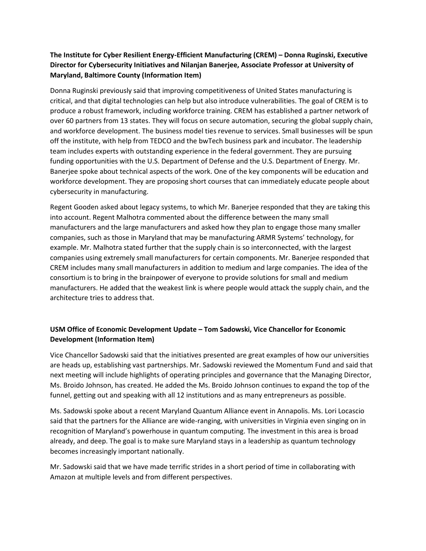## **The Institute for Cyber Resilient Energy-Efficient Manufacturing (CREM) – Donna Ruginski, Executive Director for Cybersecurity Initiatives and Nilanjan Banerjee, Associate Professor at University of Maryland, Baltimore County (Information Item)**

Donna Ruginski previously said that improving competitiveness of United States manufacturing is critical, and that digital technologies can help but also introduce vulnerabilities. The goal of CREM is to produce a robust framework, including workforce training. CREM has established a partner network of over 60 partners from 13 states. They will focus on secure automation, securing the global supply chain, and workforce development. The business model ties revenue to services. Small businesses will be spun off the institute, with help from TEDCO and the bwTech business park and incubator. The leadership team includes experts with outstanding experience in the federal government. They are pursuing funding opportunities with the U.S. Department of Defense and the U.S. Department of Energy. Mr. Banerjee spoke about technical aspects of the work. One of the key components will be education and workforce development. They are proposing short courses that can immediately educate people about cybersecurity in manufacturing.

Regent Gooden asked about legacy systems, to which Mr. Banerjee responded that they are taking this into account. Regent Malhotra commented about the difference between the many small manufacturers and the large manufacturers and asked how they plan to engage those many smaller companies, such as those in Maryland that may be manufacturing ARMR Systems' technology, for example. Mr. Malhotra stated further that the supply chain is so interconnected, with the largest companies using extremely small manufacturers for certain components. Mr. Banerjee responded that CREM includes many small manufacturers in addition to medium and large companies. The idea of the consortium is to bring in the brainpower of everyone to provide solutions for small and medium manufacturers. He added that the weakest link is where people would attack the supply chain, and the architecture tries to address that.

## **USM Office of Economic Development Update – Tom Sadowski, Vice Chancellor for Economic Development (Information Item)**

Vice Chancellor Sadowski said that the initiatives presented are great examples of how our universities are heads up, establishing vast partnerships. Mr. Sadowski reviewed the Momentum Fund and said that next meeting will include highlights of operating principles and governance that the Managing Director, Ms. Broido Johnson, has created. He added the Ms. Broido Johnson continues to expand the top of the funnel, getting out and speaking with all 12 institutions and as many entrepreneurs as possible.

Ms. Sadowski spoke about a recent Maryland Quantum Alliance event in Annapolis. Ms. Lori Locascio said that the partners for the Alliance are wide-ranging, with universities in Virginia even singing on in recognition of Maryland's powerhouse in quantum computing. The investment in this area is broad already, and deep. The goal is to make sure Maryland stays in a leadership as quantum technology becomes increasingly important nationally.

Mr. Sadowski said that we have made terrific strides in a short period of time in collaborating with Amazon at multiple levels and from different perspectives.